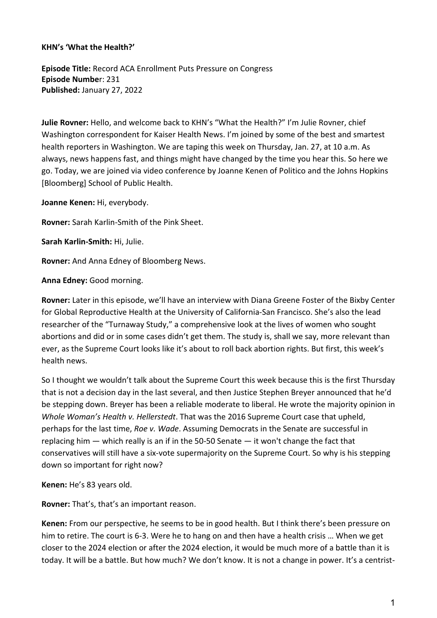#### **KHN's 'What the Health?'**

**Episode Title:** Record ACA Enrollment Puts Pressure on Congress **Episode Numbe**r: 231 **Published:** January 27, 2022

**Julie Rovner:** Hello, and welcome back to KHN's "What the Health?" I'm Julie Rovner, chief Washington correspondent for Kaiser Health News. I'm joined by some of the best and smartest health reporters in Washington. We are taping this week on Thursday, Jan. 27, at 10 a.m. As always, news happens fast, and things might have changed by the time you hear this. So here we go. Today, we are joined via video conference by Joanne Kenen of Politico and the Johns Hopkins [Bloomberg] School of Public Health.

**Joanne Kenen:** Hi, everybody.

**Rovner:** Sarah Karlin-Smith of the Pink Sheet.

**Sarah Karlin-Smith:** Hi, Julie.

**Rovner:** And Anna Edney of Bloomberg News.

**Anna Edney:** Good morning.

**Rovner:** Later in this episode, we'll have an interview with Diana Greene Foster of the Bixby Center for Global Reproductive Health at the University of California-San Francisco. She's also the lead researcher of the "Turnaway Study," a comprehensive look at the lives of women who sought abortions and did or in some cases didn't get them. The study is, shall we say, more relevant than ever, as the Supreme Court looks like it's about to roll back abortion rights. But first, this week's health news.

So I thought we wouldn't talk about the Supreme Court this week because this is the first Thursday that is not a decision day in the last several, and then Justice Stephen Breyer announced that he'd be stepping down. Breyer has been a reliable moderate to liberal. He wrote the majority opinion in *Whole Woman's Health v. Hellerstedt*. That was the 2016 Supreme Court case that upheld, perhaps for the last time, *Roe v. Wade*. Assuming Democrats in the Senate are successful in replacing him — which really is an if in the 50-50 Senate — it won't change the fact that conservatives will still have a six-vote supermajority on the Supreme Court. So why is his stepping down so important for right now?

**Kenen:** He's 83 years old.

**Rovner:** That's, that's an important reason.

**Kenen:** From our perspective, he seems to be in good health. But I think there's been pressure on him to retire. The court is 6-3. Were he to hang on and then have a health crisis … When we get closer to the 2024 election or after the 2024 election, it would be much more of a battle than it is today. It will be a battle. But how much? We don't know. It is not a change in power. It's a centrist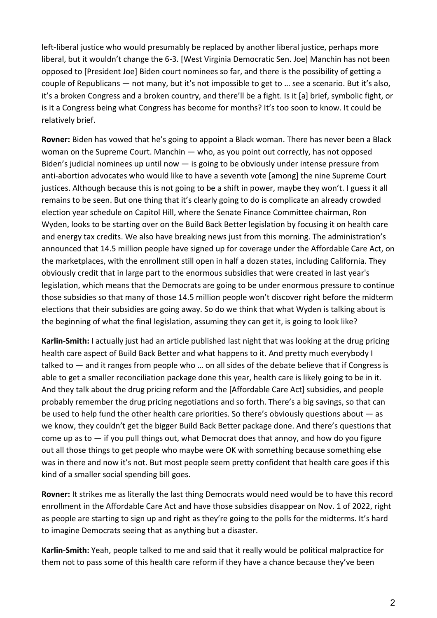left-liberal justice who would presumably be replaced by another liberal justice, perhaps more liberal, but it wouldn't change the 6-3. [West Virginia Democratic Sen. Joe] Manchin has not been opposed to [President Joe] Biden court nominees so far, and there is the possibility of getting a couple of Republicans — not many, but it's not impossible to get to … see a scenario. But it's also, it's a broken Congress and a broken country, and there'll be a fight. Is it [a] brief, symbolic fight, or is it a Congress being what Congress has become for months? It's too soon to know. It could be relatively brief.

**Rovner:** Biden has vowed that he's going to appoint a Black woman. There has never been a Black woman on the Supreme Court. Manchin — who, as you point out correctly, has not opposed Biden's judicial nominees up until now — is going to be obviously under intense pressure from anti-abortion advocates who would like to have a seventh vote [among] the nine Supreme Court justices. Although because this is not going to be a shift in power, maybe they won't. I guess it all remains to be seen. But one thing that it's clearly going to do is complicate an already crowded election year schedule on Capitol Hill, where the Senate Finance Committee chairman, Ron Wyden, looks to be starting over on the Build Back Better legislation by focusing it on health care and energy tax credits. We also have breaking news just from this morning. The administration's announced that 14.5 million people have signed up for coverage under the Affordable Care Act, on the marketplaces, with the enrollment still open in half a dozen states, including California. They obviously credit that in large part to the enormous subsidies that were created in last year's legislation, which means that the Democrats are going to be under enormous pressure to continue those subsidies so that many of those 14.5 million people won't discover right before the midterm elections that their subsidies are going away. So do we think that what Wyden is talking about is the beginning of what the final legislation, assuming they can get it, is going to look like?

**Karlin-Smith:** I actually just had an article published last night that was looking at the drug pricing health care aspect of Build Back Better and what happens to it. And pretty much everybody I talked to — and it ranges from people who … on all sides of the debate believe that if Congress is able to get a smaller reconciliation package done this year, health care is likely going to be in it. And they talk about the drug pricing reform and the [Affordable Care Act] subsidies, and people probably remember the drug pricing negotiations and so forth. There's a big savings, so that can be used to help fund the other health care priorities. So there's obviously questions about — as we know, they couldn't get the bigger Build Back Better package done. And there's questions that come up as to  $-$  if you pull things out, what Democrat does that annoy, and how do you figure out all those things to get people who maybe were OK with something because something else was in there and now it's not. But most people seem pretty confident that health care goes if this kind of a smaller social spending bill goes.

**Rovner:** It strikes me as literally the last thing Democrats would need would be to have this record enrollment in the Affordable Care Act and have those subsidies disappear on Nov. 1 of 2022, right as people are starting to sign up and right as they're going to the polls for the midterms. It's hard to imagine Democrats seeing that as anything but a disaster.

**Karlin-Smith:** Yeah, people talked to me and said that it really would be political malpractice for them not to pass some of this health care reform if they have a chance because they've been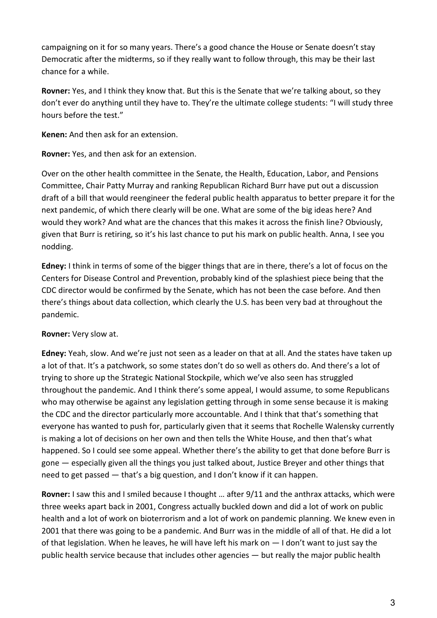campaigning on it for so many years. There's a good chance the House or Senate doesn't stay Democratic after the midterms, so if they really want to follow through, this may be their last chance for a while.

**Rovner:** Yes, and I think they know that. But this is the Senate that we're talking about, so they don't ever do anything until they have to. They're the ultimate college students: "I will study three hours before the test."

**Kenen:** And then ask for an extension.

**Rovner:** Yes, and then ask for an extension.

Over on the other health committee in the Senate, the Health, Education, Labor, and Pensions Committee, Chair Patty Murray and ranking Republican Richard Burr have put out a discussion draft of a bill that would reengineer the federal public health apparatus to better prepare it for the next pandemic, of which there clearly will be one. What are some of the big ideas here? And would they work? And what are the chances that this makes it across the finish line? Obviously, given that Burr is retiring, so it's his last chance to put his mark on public health. Anna, I see you nodding.

**Edney:** I think in terms of some of the bigger things that are in there, there's a lot of focus on the Centers for Disease Control and Prevention, probably kind of the splashiest piece being that the CDC director would be confirmed by the Senate, which has not been the case before. And then there's things about data collection, which clearly the U.S. has been very bad at throughout the pandemic.

# **Rovner:** Very slow at.

**Edney:** Yeah, slow. And we're just not seen as a leader on that at all. And the states have taken up a lot of that. It's a patchwork, so some states don't do so well as others do. And there's a lot of trying to shore up the Strategic National Stockpile, which we've also seen has struggled throughout the pandemic. And I think there's some appeal, I would assume, to some Republicans who may otherwise be against any legislation getting through in some sense because it is making the CDC and the director particularly more accountable. And I think that that's something that everyone has wanted to push for, particularly given that it seems that Rochelle Walensky currently is making a lot of decisions on her own and then tells the White House, and then that's what happened. So I could see some appeal. Whether there's the ability to get that done before Burr is gone — especially given all the things you just talked about, Justice Breyer and other things that need to get passed — that's a big question, and I don't know if it can happen.

**Rovner:** I saw this and I smiled because I thought … after 9/11 and the anthrax attacks, which were three weeks apart back in 2001, Congress actually buckled down and did a lot of work on public health and a lot of work on bioterrorism and a lot of work on pandemic planning. We knew even in 2001 that there was going to be a pandemic. And Burr was in the middle of all of that. He did a lot of that legislation. When he leaves, he will have left his mark on — I don't want to just say the public health service because that includes other agencies — but really the major public health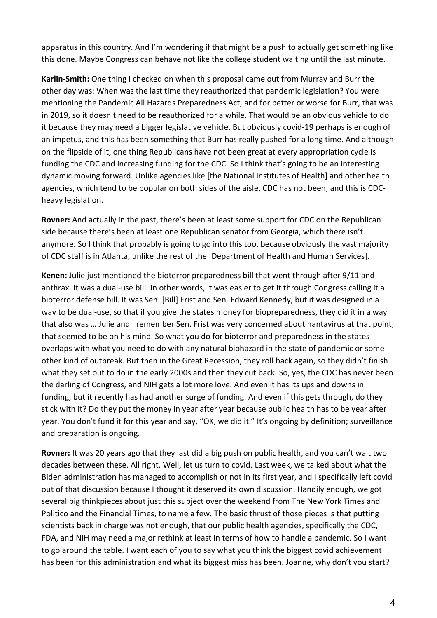apparatus in this country. And I'm wondering if that might be a push to actually get something like this done. Maybe Congress can behave not like the college student waiting until the last minute.

**Karlin-Smith:** One thing I checked on when this proposal came out from Murray and Burr the other day was: When was the last time they reauthorized that pandemic legislation? You were mentioning the Pandemic All Hazards Preparedness Act, and for better or worse for Burr, that was in 2019, so it doesn't need to be reauthorized for a while. That would be an obvious vehicle to do it because they may need a bigger legislative vehicle. But obviously covid-19 perhaps is enough of an impetus, and this has been something that Burr has really pushed for a long time. And although on the flipside of it, one thing Republicans have not been great at every appropriation cycle is funding the CDC and increasing funding for the CDC. So I think that's going to be an interesting dynamic moving forward. Unlike agencies like [the National Institutes of Health] and other health agencies, which tend to be popular on both sides of the aisle, CDC has not been, and this is CDCheavy legislation.

**Rovner:** And actually in the past, there's been at least some support for CDC on the Republican side because there's been at least one Republican senator from Georgia, which there isn't anymore. So I think that probably is going to go into this too, because obviously the vast majority of CDC staff is in Atlanta, unlike the rest of the [Department of Health and Human Services].

**Kenen:** Julie just mentioned the bioterror preparedness bill that went through after 9/11 and anthrax. It was a dual-use bill. In other words, it was easier to get it through Congress calling it a bioterror defense bill. It was Sen. [Bill] Frist and Sen. Edward Kennedy, but it was designed in a way to be dual-use, so that if you give the states money for biopreparedness, they did it in a way that also was … Julie and I remember Sen. Frist was very concerned about hantavirus at that point; that seemed to be on his mind. So what you do for bioterror and preparedness in the states overlaps with what you need to do with any natural biohazard in the state of pandemic or some other kind of outbreak. But then in the Great Recession, they roll back again, so they didn't finish what they set out to do in the early 2000s and then they cut back. So, yes, the CDC has never been the darling of Congress, and NIH gets a lot more love. And even it has its ups and downs in funding, but it recently has had another surge of funding. And even if this gets through, do they stick with it? Do they put the money in year after year because public health has to be year after year. You don't fund it for this year and say, "OK, we did it." It's ongoing by definition; surveillance and preparation is ongoing.

**Rovner:** It was 20 years ago that they last did a big push on public health, and you can't wait two decades between these. All right. Well, let us turn to covid. Last week, we talked about what the Biden administration has managed to accomplish or not in its first year, and I specifically left covid out of that discussion because I thought it deserved its own discussion. Handily enough, we got several big thinkpieces about just this subject over the weekend from The New York Times and Politico and the Financial Times, to name a few. The basic thrust of those pieces is that putting scientists back in charge was not enough, that our public health agencies, specifically the CDC, FDA, and NIH may need a major rethink at least in terms of how to handle a pandemic. So I want to go around the table. I want each of you to say what you think the biggest covid achievement has been for this administration and what its biggest miss has been. Joanne, why don't you start?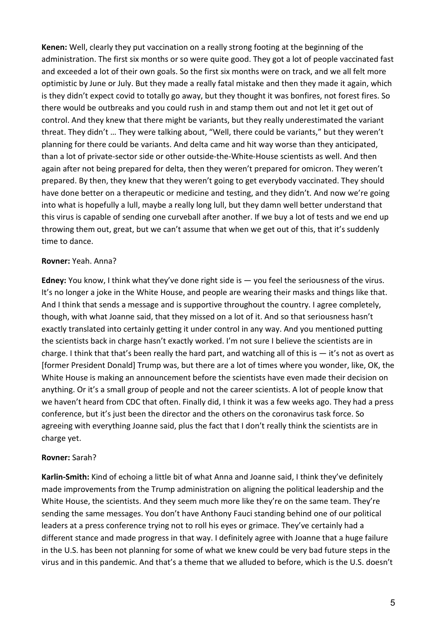**Kenen:** Well, clearly they put vaccination on a really strong footing at the beginning of the administration. The first six months or so were quite good. They got a lot of people vaccinated fast and exceeded a lot of their own goals. So the first six months were on track, and we all felt more optimistic by June or July. But they made a really fatal mistake and then they made it again, which is they didn't expect covid to totally go away, but they thought it was bonfires, not forest fires. So there would be outbreaks and you could rush in and stamp them out and not let it get out of control. And they knew that there might be variants, but they really underestimated the variant threat. They didn't … They were talking about, "Well, there could be variants," but they weren't planning for there could be variants. And delta came and hit way worse than they anticipated, than a lot of private-sector side or other outside-the-White-House scientists as well. And then again after not being prepared for delta, then they weren't prepared for omicron. They weren't prepared. By then, they knew that they weren't going to get everybody vaccinated. They should have done better on a therapeutic or medicine and testing, and they didn't. And now we're going into what is hopefully a lull, maybe a really long lull, but they damn well better understand that this virus is capable of sending one curveball after another. If we buy a lot of tests and we end up throwing them out, great, but we can't assume that when we get out of this, that it's suddenly time to dance.

#### **Rovner:** Yeah. Anna?

**Edney:** You know, I think what they've done right side is — you feel the seriousness of the virus. It's no longer a joke in the White House, and people are wearing their masks and things like that. And I think that sends a message and is supportive throughout the country. I agree completely, though, with what Joanne said, that they missed on a lot of it. And so that seriousness hasn't exactly translated into certainly getting it under control in any way. And you mentioned putting the scientists back in charge hasn't exactly worked. I'm not sure I believe the scientists are in charge. I think that that's been really the hard part, and watching all of this is  $-$  it's not as overt as [former President Donald] Trump was, but there are a lot of times where you wonder, like, OK, the White House is making an announcement before the scientists have even made their decision on anything. Or it's a small group of people and not the career scientists. A lot of people know that we haven't heard from CDC that often. Finally did, I think it was a few weeks ago. They had a press conference, but it's just been the director and the others on the coronavirus task force. So agreeing with everything Joanne said, plus the fact that I don't really think the scientists are in charge yet.

#### **Rovner:** Sarah?

**Karlin-Smith:** Kind of echoing a little bit of what Anna and Joanne said, I think they've definitely made improvements from the Trump administration on aligning the political leadership and the White House, the scientists. And they seem much more like they're on the same team. They're sending the same messages. You don't have Anthony Fauci standing behind one of our political leaders at a press conference trying not to roll his eyes or grimace. They've certainly had a different stance and made progress in that way. I definitely agree with Joanne that a huge failure in the U.S. has been not planning for some of what we knew could be very bad future steps in the virus and in this pandemic. And that's a theme that we alluded to before, which is the U.S. doesn't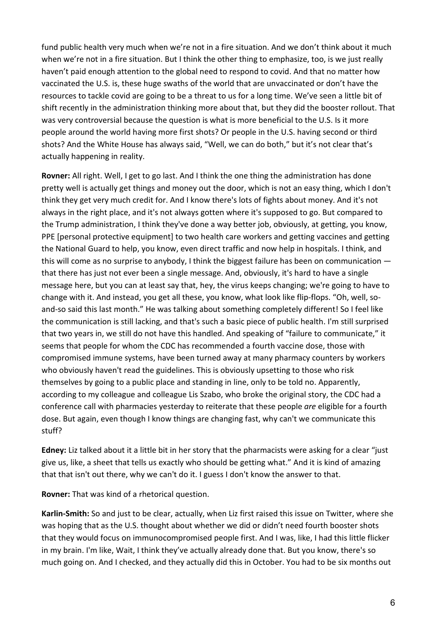fund public health very much when we're not in a fire situation. And we don't think about it much when we're not in a fire situation. But I think the other thing to emphasize, too, is we just really haven't paid enough attention to the global need to respond to covid. And that no matter how vaccinated the U.S. is, these huge swaths of the world that are unvaccinated or don't have the resources to tackle covid are going to be a threat to us for a long time. We've seen a little bit of shift recently in the administration thinking more about that, but they did the booster rollout. That was very controversial because the question is what is more beneficial to the U.S. Is it more people around the world having more first shots? Or people in the U.S. having second or third shots? And the White House has always said, "Well, we can do both," but it's not clear that's actually happening in reality.

**Rovner:** All right. Well, I get to go last. And I think the one thing the administration has done pretty well is actually get things and money out the door, which is not an easy thing, which I don't think they get very much credit for. And I know there's lots of fights about money. And it's not always in the right place, and it's not always gotten where it's supposed to go. But compared to the Trump administration, I think they've done a way better job, obviously, at getting, you know, PPE [personal protective equipment] to two health care workers and getting vaccines and getting the National Guard to help, you know, even direct traffic and now help in hospitals. I think, and this will come as no surprise to anybody, I think the biggest failure has been on communication that there has just not ever been a single message. And, obviously, it's hard to have a single message here, but you can at least say that, hey, the virus keeps changing; we're going to have to change with it. And instead, you get all these, you know, what look like flip-flops. "Oh, well, soand-so said this last month." He was talking about something completely different! So I feel like the communication is still lacking, and that's such a basic piece of public health. I'm still surprised that two years in, we still do not have this handled. And speaking of "failure to communicate," it seems that people for whom the CDC has recommended a fourth vaccine dose, those with compromised immune systems, have been turned away at many pharmacy counters by workers who obviously haven't read the guidelines. This is obviously upsetting to those who risk themselves by going to a public place and standing in line, only to be told no. Apparently, according to my colleague and colleague Lis Szabo, who broke the original story, the CDC had a conference call with pharmacies yesterday to reiterate that these people *are* eligible for a fourth dose. But again, even though I know things are changing fast, why can't we communicate this stuff?

**Edney:** Liz talked about it a little bit in her story that the pharmacists were asking for a clear "just give us, like, a sheet that tells us exactly who should be getting what." And it is kind of amazing that that isn't out there, why we can't do it. I guess I don't know the answer to that.

**Rovner:** That was kind of a rhetorical question.

**Karlin-Smith:** So and just to be clear, actually, when Liz first raised this issue on Twitter, where she was hoping that as the U.S. thought about whether we did or didn't need fourth booster shots that they would focus on immunocompromised people first. And I was, like, I had this little flicker in my brain. I'm like, Wait, I think they've actually already done that. But you know, there's so much going on. And I checked, and they actually did this in October. You had to be six months out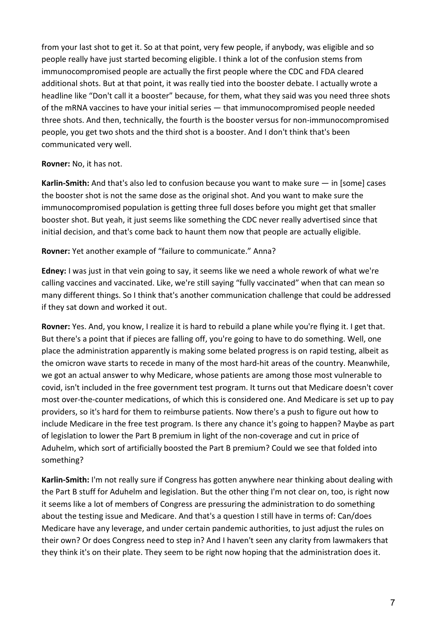from your last shot to get it. So at that point, very few people, if anybody, was eligible and so people really have just started becoming eligible. I think a lot of the confusion stems from immunocompromised people are actually the first people where the CDC and FDA cleared additional shots. But at that point, it was really tied into the booster debate. I actually wrote a headline like "Don't call it a booster" because, for them, what they said was you need three shots of the mRNA vaccines to have your initial series — that immunocompromised people needed three shots. And then, technically, the fourth is the booster versus for non-immunocompromised people, you get two shots and the third shot is a booster. And I don't think that's been communicated very well.

### **Rovner:** No, it has not.

**Karlin-Smith:** And that's also led to confusion because you want to make sure — in [some] cases the booster shot is not the same dose as the original shot. And you want to make sure the immunocompromised population is getting three full doses before you might get that smaller booster shot. But yeah, it just seems like something the CDC never really advertised since that initial decision, and that's come back to haunt them now that people are actually eligible.

# **Rovner:** Yet another example of "failure to communicate." Anna?

**Edney:** I was just in that vein going to say, it seems like we need a whole rework of what we're calling vaccines and vaccinated. Like, we're still saying "fully vaccinated" when that can mean so many different things. So I think that's another communication challenge that could be addressed if they sat down and worked it out.

**Rovner:** Yes. And, you know, I realize it is hard to rebuild a plane while you're flying it. I get that. But there's a point that if pieces are falling off, you're going to have to do something. Well, one place the administration apparently is making some belated progress is on rapid testing, albeit as the omicron wave starts to recede in many of the most hard-hit areas of the country. Meanwhile, we got an actual answer to why Medicare, whose patients are among those most vulnerable to covid, isn't included in the free government test program. It turns out that Medicare doesn't cover most over-the-counter medications, of which this is considered one. And Medicare is set up to pay providers, so it's hard for them to reimburse patients. Now there's a push to figure out how to include Medicare in the free test program. Is there any chance it's going to happen? Maybe as part of legislation to lower the Part B premium in light of the non-coverage and cut in price of Aduhelm, which sort of artificially boosted the Part B premium? Could we see that folded into something?

**Karlin-Smith:** I'm not really sure if Congress has gotten anywhere near thinking about dealing with the Part B stuff for Aduhelm and legislation. But the other thing I'm not clear on, too, is right now it seems like a lot of members of Congress are pressuring the administration to do something about the testing issue and Medicare. And that's a question I still have in terms of: Can/does Medicare have any leverage, and under certain pandemic authorities, to just adjust the rules on their own? Or does Congress need to step in? And I haven't seen any clarity from lawmakers that they think it's on their plate. They seem to be right now hoping that the administration does it.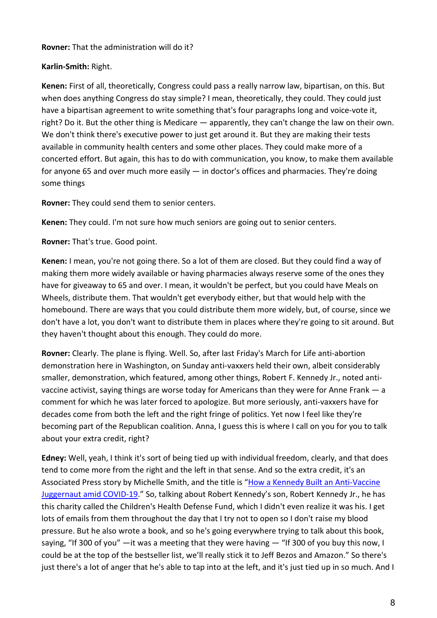#### **Rovner:** That the administration will do it?

### **Karlin-Smith:** Right.

**Kenen:** First of all, theoretically, Congress could pass a really narrow law, bipartisan, on this. But when does anything Congress do stay simple? I mean, theoretically, they could. They could just have a bipartisan agreement to write something that's four paragraphs long and voice-vote it, right? Do it. But the other thing is Medicare — apparently, they can't change the law on their own. We don't think there's executive power to just get around it. But they are making their tests available in community health centers and some other places. They could make more of a concerted effort. But again, this has to do with communication, you know, to make them available for anyone 65 and over much more easily — in doctor's offices and pharmacies. They're doing some things

**Rovner:** They could send them to senior centers.

**Kenen:** They could. I'm not sure how much seniors are going out to senior centers.

**Rovner:** That's true. Good point.

**Kenen:** I mean, you're not going there. So a lot of them are closed. But they could find a way of making them more widely available or having pharmacies always reserve some of the ones they have for giveaway to 65 and over. I mean, it wouldn't be perfect, but you could have Meals on Wheels, distribute them. That wouldn't get everybody either, but that would help with the homebound. There are ways that you could distribute them more widely, but, of course, since we don't have a lot, you don't want to distribute them in places where they're going to sit around. But they haven't thought about this enough. They could do more.

**Rovner:** Clearly. The plane is flying. Well. So, after last Friday's March for Life anti-abortion demonstration here in Washington, on Sunday anti-vaxxers held their own, albeit considerably smaller, demonstration, which featured, among other things, Robert F. Kennedy Jr., noted antivaccine activist, saying things are worse today for Americans than they were for Anne Frank — a comment for which he was later forced to apologize. But more seriously, anti-vaxxers have for decades come from both the left and the right fringe of politics. Yet now I feel like they're becoming part of the Republican coalition. Anna, I guess this is where I call on you for you to talk about your extra credit, right?

**Edney:** Well, yeah, I think it's sort of being tied up with individual freedom, clearly, and that does tend to come more from the right and the left in that sense. And so the extra credit, it's an Associated Press story by Michelle Smith, and the title is "How a Kennedy Built an Anti-Vaccine [Juggernaut amid COVID-19.](https://apnews.com/article/how-rfk-jr-built-anti-vaccine-juggernaut-amid-covid-4997be1bcf591fe8b7f1f90d16c9321e)" So, talking about Robert Kennedy's son, Robert Kennedy Jr., he has this charity called the Children's Health Defense Fund, which I didn't even realize it was his. I get lots of emails from them throughout the day that I try not to open so I don't raise my blood pressure. But he also wrote a book, and so he's going everywhere trying to talk about this book, saying, "If 300 of you" —it was a meeting that they were having — "If 300 of you buy this now, I could be at the top of the bestseller list, we'll really stick it to Jeff Bezos and Amazon." So there's just there's a lot of anger that he's able to tap into at the left, and it's just tied up in so much. And I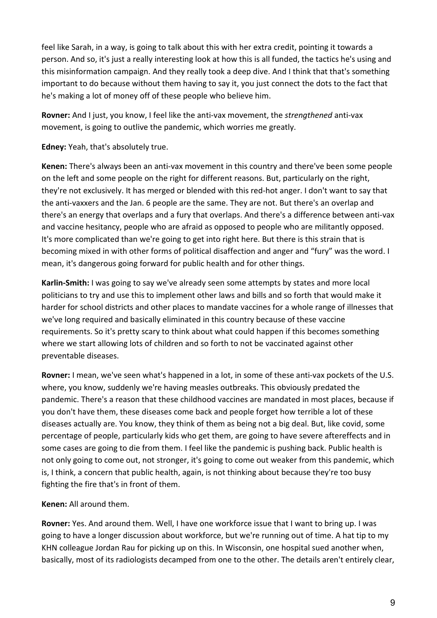feel like Sarah, in a way, is going to talk about this with her extra credit, pointing it towards a person. And so, it's just a really interesting look at how this is all funded, the tactics he's using and this misinformation campaign. And they really took a deep dive. And I think that that's something important to do because without them having to say it, you just connect the dots to the fact that he's making a lot of money off of these people who believe him.

**Rovner:** And I just, you know, I feel like the anti-vax movement, the *strengthened* anti-vax movement, is going to outlive the pandemic, which worries me greatly.

**Edney:** Yeah, that's absolutely true.

**Kenen:** There's always been an anti-vax movement in this country and there've been some people on the left and some people on the right for different reasons. But, particularly on the right, they're not exclusively. It has merged or blended with this red-hot anger. I don't want to say that the anti-vaxxers and the Jan. 6 people are the same. They are not. But there's an overlap and there's an energy that overlaps and a fury that overlaps. And there's a difference between anti-vax and vaccine hesitancy, people who are afraid as opposed to people who are militantly opposed. It's more complicated than we're going to get into right here. But there is this strain that is becoming mixed in with other forms of political disaffection and anger and "fury" was the word. I mean, it's dangerous going forward for public health and for other things.

**Karlin-Smith:** I was going to say we've already seen some attempts by states and more local politicians to try and use this to implement other laws and bills and so forth that would make it harder for school districts and other places to mandate vaccines for a whole range of illnesses that we've long required and basically eliminated in this country because of these vaccine requirements. So it's pretty scary to think about what could happen if this becomes something where we start allowing lots of children and so forth to not be vaccinated against other preventable diseases.

**Rovner:** I mean, we've seen what's happened in a lot, in some of these anti-vax pockets of the U.S. where, you know, suddenly we're having measles outbreaks. This obviously predated the pandemic. There's a reason that these childhood vaccines are mandated in most places, because if you don't have them, these diseases come back and people forget how terrible a lot of these diseases actually are. You know, they think of them as being not a big deal. But, like covid, some percentage of people, particularly kids who get them, are going to have severe aftereffects and in some cases are going to die from them. I feel like the pandemic is pushing back. Public health is not only going to come out, not stronger, it's going to come out weaker from this pandemic, which is, I think, a concern that public health, again, is not thinking about because they're too busy fighting the fire that's in front of them.

**Kenen:** All around them.

**Rovner:** Yes. And around them. Well, I have one workforce issue that I want to bring up. I was going to have a longer discussion about workforce, but we're running out of time. A hat tip to my KHN colleague Jordan Rau for picking up on this. In Wisconsin, one hospital sued another when, basically, most of its radiologists decamped from one to the other. The details aren't entirely clear,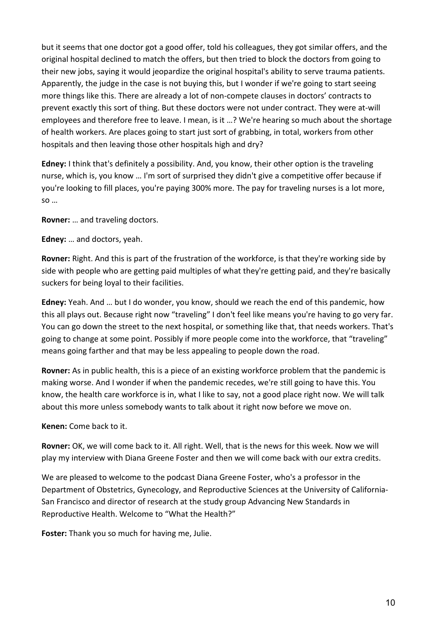but it seems that one doctor got a good offer, told his colleagues, they got similar offers, and the original hospital declined to match the offers, but then tried to block the doctors from going to their new jobs, saying it would jeopardize the original hospital's ability to serve trauma patients. Apparently, the judge in the case is not buying this, but I wonder if we're going to start seeing more things like this. There are already a lot of non-compete clauses in doctors' contracts to prevent exactly this sort of thing. But these doctors were not under contract. They were at-will employees and therefore free to leave. I mean, is it …? We're hearing so much about the shortage of health workers. Are places going to start just sort of grabbing, in total, workers from other hospitals and then leaving those other hospitals high and dry?

**Edney:** I think that's definitely a possibility. And, you know, their other option is the traveling nurse, which is, you know … I'm sort of surprised they didn't give a competitive offer because if you're looking to fill places, you're paying 300% more. The pay for traveling nurses is a lot more, so …

**Rovner:** … and traveling doctors.

**Edney:** … and doctors, yeah.

**Rovner:** Right. And this is part of the frustration of the workforce, is that they're working side by side with people who are getting paid multiples of what they're getting paid, and they're basically suckers for being loyal to their facilities.

**Edney:** Yeah. And … but I do wonder, you know, should we reach the end of this pandemic, how this all plays out. Because right now "traveling" I don't feel like means you're having to go very far. You can go down the street to the next hospital, or something like that, that needs workers. That's going to change at some point. Possibly if more people come into the workforce, that "traveling" means going farther and that may be less appealing to people down the road.

**Rovner:** As in public health, this is a piece of an existing workforce problem that the pandemic is making worse. And I wonder if when the pandemic recedes, we're still going to have this. You know, the health care workforce is in, what I like to say, not a good place right now. We will talk about this more unless somebody wants to talk about it right now before we move on.

**Kenen:** Come back to it.

**Rovner:** OK, we will come back to it. All right. Well, that is the news for this week. Now we will play my interview with Diana Greene Foster and then we will come back with our extra credits.

We are pleased to welcome to the podcast Diana Greene Foster, who's a professor in the Department of Obstetrics, Gynecology, and Reproductive Sciences at the University of California-San Francisco and director of research at the study group Advancing New Standards in Reproductive Health. Welcome to "What the Health?"

**Foster:** Thank you so much for having me, Julie.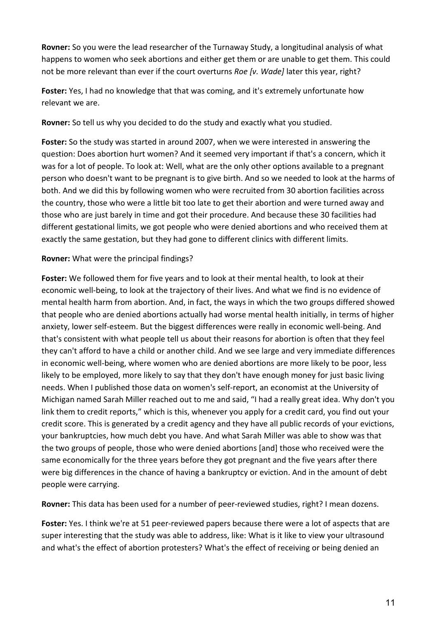**Rovner:** So you were the lead researcher of the Turnaway Study, a longitudinal analysis of what happens to women who seek abortions and either get them or are unable to get them. This could not be more relevant than ever if the court overturns *Roe [v. Wade]* later this year, right?

**Foster:** Yes, I had no knowledge that that was coming, and it's extremely unfortunate how relevant we are.

**Rovner:** So tell us why you decided to do the study and exactly what you studied.

**Foster:** So the study was started in around 2007, when we were interested in answering the question: Does abortion hurt women? And it seemed very important if that's a concern, which it was for a lot of people. To look at: Well, what are the only other options available to a pregnant person who doesn't want to be pregnant is to give birth. And so we needed to look at the harms of both. And we did this by following women who were recruited from 30 abortion facilities across the country, those who were a little bit too late to get their abortion and were turned away and those who are just barely in time and got their procedure. And because these 30 facilities had different gestational limits, we got people who were denied abortions and who received them at exactly the same gestation, but they had gone to different clinics with different limits.

# **Rovner:** What were the principal findings?

**Foster:** We followed them for five years and to look at their mental health, to look at their economic well-being, to look at the trajectory of their lives. And what we find is no evidence of mental health harm from abortion. And, in fact, the ways in which the two groups differed showed that people who are denied abortions actually had worse mental health initially, in terms of higher anxiety, lower self-esteem. But the biggest differences were really in economic well-being. And that's consistent with what people tell us about their reasons for abortion is often that they feel they can't afford to have a child or another child. And we see large and very immediate differences in economic well-being, where women who are denied abortions are more likely to be poor, less likely to be employed, more likely to say that they don't have enough money for just basic living needs. When I published those data on women's self-report, an economist at the University of Michigan named Sarah Miller reached out to me and said, "I had a really great idea. Why don't you link them to credit reports," which is this, whenever you apply for a credit card, you find out your credit score. This is generated by a credit agency and they have all public records of your evictions, your bankruptcies, how much debt you have. And what Sarah Miller was able to show was that the two groups of people, those who were denied abortions [and] those who received were the same economically for the three years before they got pregnant and the five years after there were big differences in the chance of having a bankruptcy or eviction. And in the amount of debt people were carrying.

**Rovner:** This data has been used for a number of peer-reviewed studies, right? I mean dozens.

**Foster:** Yes. I think we're at 51 peer-reviewed papers because there were a lot of aspects that are super interesting that the study was able to address, like: What is it like to view your ultrasound and what's the effect of abortion protesters? What's the effect of receiving or being denied an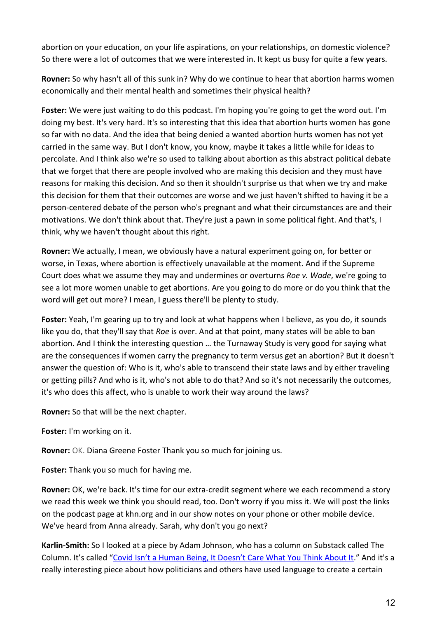abortion on your education, on your life aspirations, on your relationships, on domestic violence? So there were a lot of outcomes that we were interested in. It kept us busy for quite a few years.

**Rovner:** So why hasn't all of this sunk in? Why do we continue to hear that abortion harms women economically and their mental health and sometimes their physical health?

**Foster:** We were just waiting to do this podcast. I'm hoping you're going to get the word out. I'm doing my best. It's very hard. It's so interesting that this idea that abortion hurts women has gone so far with no data. And the idea that being denied a wanted abortion hurts women has not yet carried in the same way. But I don't know, you know, maybe it takes a little while for ideas to percolate. And I think also we're so used to talking about abortion as this abstract political debate that we forget that there are people involved who are making this decision and they must have reasons for making this decision. And so then it shouldn't surprise us that when we try and make this decision for them that their outcomes are worse and we just haven't shifted to having it be a person-centered debate of the person who's pregnant and what their circumstances are and their motivations. We don't think about that. They're just a pawn in some political fight. And that's, I think, why we haven't thought about this right.

**Rovner:** We actually, I mean, we obviously have a natural experiment going on, for better or worse, in Texas, where abortion is effectively unavailable at the moment. And if the Supreme Court does what we assume they may and undermines or overturns *Roe v. Wade*, we're going to see a lot more women unable to get abortions. Are you going to do more or do you think that the word will get out more? I mean, I guess there'll be plenty to study.

**Foster:** Yeah, I'm gearing up to try and look at what happens when I believe, as you do, it sounds like you do, that they'll say that *Roe* is over. And at that point, many states will be able to ban abortion. And I think the interesting question … the Turnaway Study is very good for saying what are the consequences if women carry the pregnancy to term versus get an abortion? But it doesn't answer the question of: Who is it, who's able to transcend their state laws and by either traveling or getting pills? And who is it, who's not able to do that? And so it's not necessarily the outcomes, it's who does this affect, who is unable to work their way around the laws?

**Rovner:** So that will be the next chapter.

**Foster:** I'm working on it.

**Rovner:** OK. Diana Greene Foster Thank you so much for joining us.

**Foster:** Thank you so much for having me.

**Rovner:** OK, we're back. It's time for our extra-credit segment where we each recommend a story we read this week we think you should read, too. Don't worry if you miss it. We will post the links on the podcast page at khn.org and in our show notes on your phone or other mobile device. We've heard from Anna already. Sarah, why don't you go next?

**Karlin-Smith:** So I looked at a piece by Adam Johnson, who has a column on Substack called The Column. It's called ["Covid Isn't a Human Being, It Doesn't Care What You Think About It.](https://thecolumn.substack.com/p/covid-isnt-a-human-being-it-doesnt?justPublished=true)" And it's a really interesting piece about how politicians and others have used language to create a certain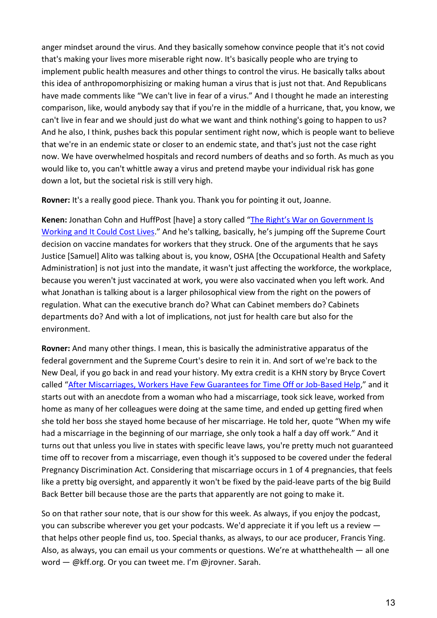anger mindset around the virus. And they basically somehow convince people that it's not covid that's making your lives more miserable right now. It's basically people who are trying to implement public health measures and other things to control the virus. He basically talks about this idea of anthropomorphisizing or making human a virus that is just not that. And Republicans have made comments like "We can't live in fear of a virus." And I thought he made an interesting comparison, like, would anybody say that if you're in the middle of a hurricane, that, you know, we can't live in fear and we should just do what we want and think nothing's going to happen to us? And he also, I think, pushes back this popular sentiment right now, which is people want to believe that we're in an endemic state or closer to an endemic state, and that's just not the case right now. We have overwhelmed hospitals and record numbers of deaths and so forth. As much as you would like to, you can't whittle away a virus and pretend maybe your individual risk has gone down a lot, but the societal risk is still very high.

**Rovner:** It's a really good piece. Thank you. Thank you for pointing it out, Joanne.

**Kenen:** Jonathan Cohn and HuffPost [have] a story called ["The Right's War on Government Is](https://www.huffpost.com/entry/supreme-court-vaccine-osha-neil-gorsuch-nondelegation_n_61e8a539e4b0c6802eef98df)  [Working and It Could Cost Lives.](https://www.huffpost.com/entry/supreme-court-vaccine-osha-neil-gorsuch-nondelegation_n_61e8a539e4b0c6802eef98df)" And he's talking, basically, he's jumping off the Supreme Court decision on vaccine mandates for workers that they struck. One of the arguments that he says Justice [Samuel] Alito was talking about is, you know, OSHA [the Occupational Health and Safety Administration] is not just into the mandate, it wasn't just affecting the workforce, the workplace, because you weren't just vaccinated at work, you were also vaccinated when you left work. And what Jonathan is talking about is a larger philosophical view from the right on the powers of regulation. What can the executive branch do? What can Cabinet members do? Cabinets departments do? And with a lot of implications, not just for health care but also for the environment.

**Rovner:** And many other things. I mean, this is basically the administrative apparatus of the federal government and the Supreme Court's desire to rein it in. And sort of we're back to the New Deal, if you go back in and read your history. My extra credit is a KHN story by Bryce Covert called ["After Miscarriages, Workers Have Few Guarantees for Time Off or Job-Based Help,](https://khn.org/news/article/miscarriage-worker-leave-legislation-pregnancy-benefits-discrimination/)" and it starts out with an anecdote from a woman who had a miscarriage, took sick leave, worked from home as many of her colleagues were doing at the same time, and ended up getting fired when she told her boss she stayed home because of her miscarriage. He told her, quote "When my wife had a miscarriage in the beginning of our marriage, she only took a half a day off work." And it turns out that unless you live in states with specific leave laws, you're pretty much not guaranteed time off to recover from a miscarriage, even though it's supposed to be covered under the federal Pregnancy Discrimination Act. Considering that miscarriage occurs in 1 of 4 pregnancies, that feels like a pretty big oversight, and apparently it won't be fixed by the paid-leave parts of the big Build Back Better bill because those are the parts that apparently are not going to make it.

So on that rather sour note, that is our show for this week. As always, if you enjoy the podcast, you can subscribe wherever you get your podcasts. We'd appreciate it if you left us a review that helps other people find us, too. Special thanks, as always, to our ace producer, Francis Ying. Also, as always, you can email us your comments or questions. We're at whatthehealth — all one word — @kff.org. Or you can tweet me. I'm @jrovner. Sarah.